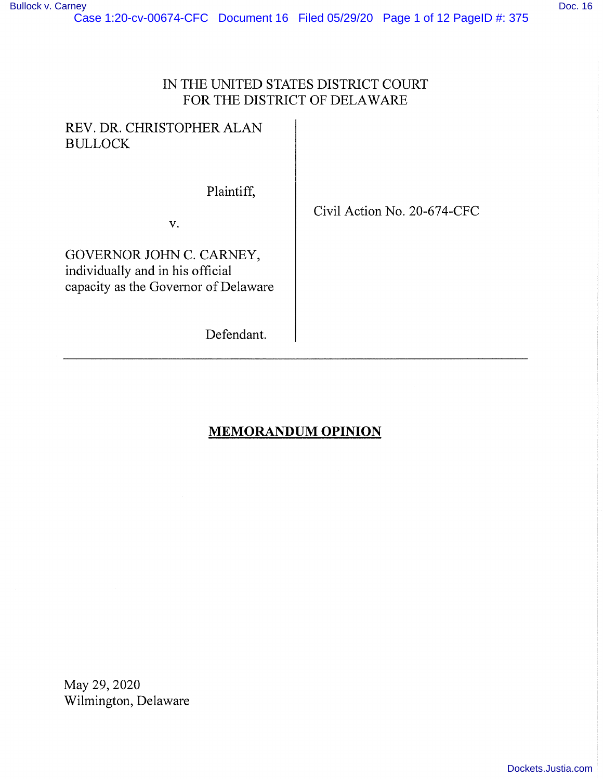## IN THE UNITED STATES DISTRICT COURT FOR THE DISTRICT OF DELAWARE

## REV. DR. CHRISTOPHER ALAN BULLOCK

Plaintiff,

V.

GOVERNOR JOHN C. CARNEY, individually and in his official capacity as the Governor of Delaware

Defendant.

Civil Action No. 20-674-CFC

# **MEMORANDUM OPINION**

May 29, 2020 Wilmington, Delaware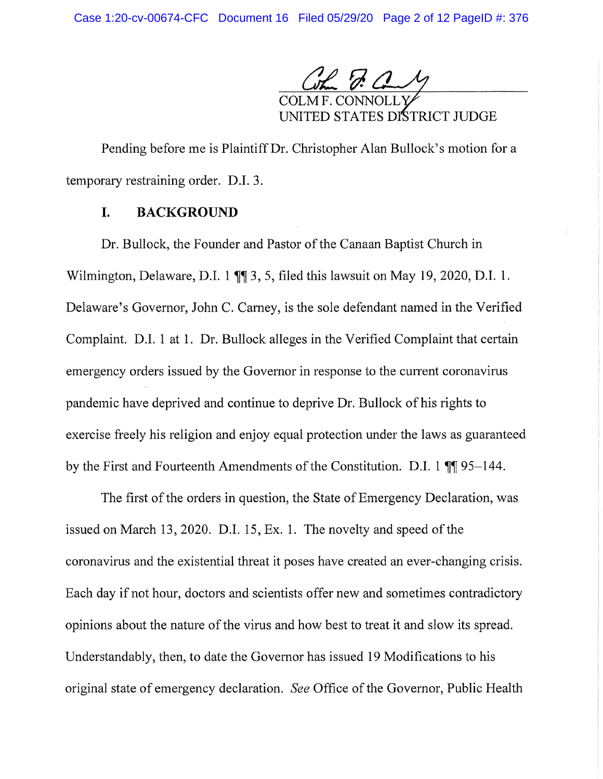Com J. a My

COLMF. CONNOLL UNITED STATES DISTRICT JUDGE

Pending before me is Plaintiff Dr. Christopher Alan Bullock's motion for a temporary restraining order. D.I. 3.

### I. **BACKGROUND**

Dr. Bullock, the Founder and Pastor of the Canaan Baptist Church in Wilmington, Delaware, D.I. 1  $\P$  3, 5, filed this lawsuit on May 19, 2020, D.I. 1. Delaware's Governor, John C. Camey, is the sole defendant named in the Verified Complaint. D.I. 1 at 1. Dr. Bullock alleges in the Verified Complaint that certain emergency orders issued by the Governor in response to the current coronavirus pandemic have deprived and continue to deprive Dr. Bullock of his rights to exercise freely his religion and enjoy equal protection under the laws as guaranteed by the First and Fourteenth Amendments of the Constitution. D.I. 1  $\P$  95–144.

The first of the orders in question, the State of Emergency Declaration, was issued on March 13, 2020. D.I. 15, Ex. 1. The novelty and speed of the coronavirus and the existential threat it poses have created an ever-changing crisis. Each day if not hour, doctors and scientists offer new and sometimes contradictory opinions about the nature of the virus and how best to treat it and slow its spread. Understandably, then, to date the Governor has issued 19 Modifications to his original state of emergency declaration. *See* Office of the Governor, Public Health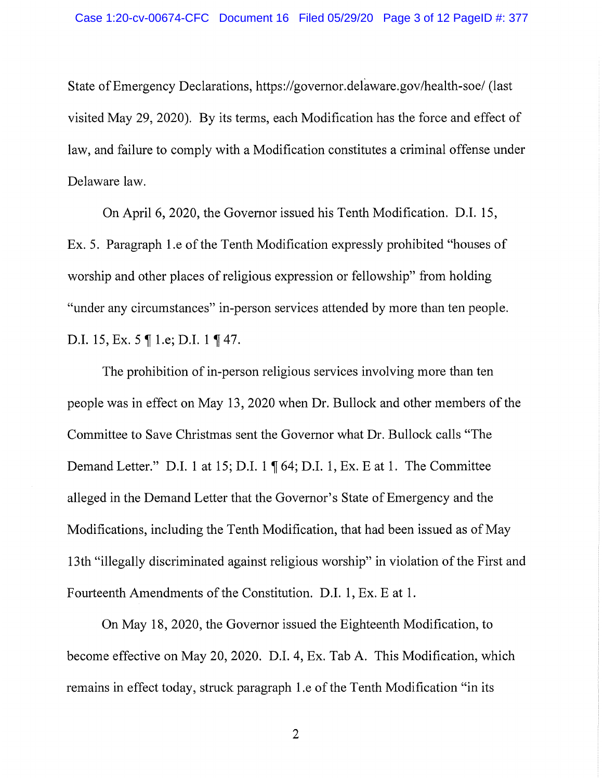State of Emergency Declarations, https://governor.delaware.gov/health-soe/ (last visited May 29, 2020). By its terms, each Modification has the force and effect of law, and failure to comply with a Modification constitutes a criminal offense under Delaware law.

On April 6, 2020, the Governor issued his Tenth Modification. **D.I.** 15, Ex. 5. Paragraph 1.e of the Tenth Modification expressly prohibited "houses of worship and other places of religious expression or fellowship" from holding "under any circumstances" in-person services attended by more than ten people. **D.I.** 15, Ex. 5  $\parallel$  1.e; D.I. 1  $\parallel$  47.

The prohibition of in-person religious services involving more than ten people was in effect on May 13, 2020 when Dr. Bullock and other members of the Committee to Save Christmas sent the Governor what Dr. Bullock calls "The **Demand Letter."** D.I. 1 at 15; D.I. 1 ¶ 64; D.I. 1, Ex. E at 1. The Committee alleged in the Demand Letter that the Governor's State of Emergency and the Modifications, including the Tenth Modification, that had been issued as of May 13th "illegally discriminated against religious worship" in violation of the First and Fourteenth Amendments of the Constitution. D.I. 1, Ex. E at 1.

On May 18, 2020, the Governor issued the Eighteenth Modification, to become effective on May 20, 2020. D.I. 4, Ex. Tab A. This Modification, which remains in effect today, struck paragraph 1.e of the Tenth Modification "in its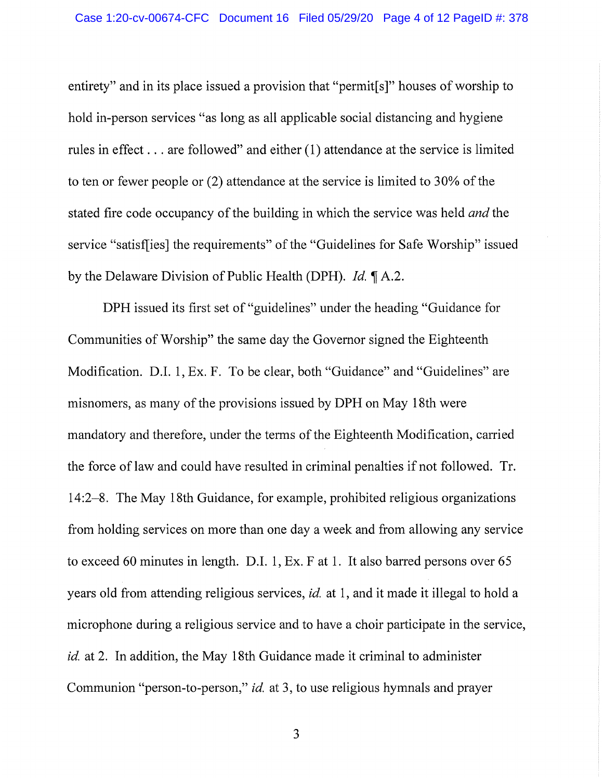entirety" and in its place issued a provision that "permit [s]" houses of worship to hold in-person services "as long as all applicable social distancing and hygiene rules in effect ... are followed" and either (1) attendance at the service is limited to ten or fewer people or (2) attendance at the service is limited to 30% of the stated fire code occupancy of the building in which the service was held *and* the service "satisf[ies] the requirements" of the "Guidelines for Safe Worship" issued by the Delaware Division of Public Health (DPH). *Id.*  $\P$  A.2.

DPH issued its first set of "guidelines" under the heading "Guidance for Communities of Worship" the same day the Governor signed the Eighteenth Modification. D.I. 1, Ex. F. To be clear, both "Guidance" and "Guidelines" are misnomers, as many of the provisions issued by DPH on May 18th were mandatory and therefore, under the terms of the Eighteenth Modification, carried the force of law and could have resulted in criminal penalties if not followed. Tr. 14:2-8. The May 18th Guidance, for example, prohibited religious organizations from holding services on more than one day a week and from allowing any service to exceed 60 minutes in length. D.I. 1, Ex. F at 1. It also barred persons over 65 years old from attending religious services, *id.* at 1, and it made it illegal to hold a microphone during a religious service and to have a choir participate in the service, *id.* at 2. In addition, the May 18th Guidance made it criminal to administer Communion "person-to-person," *id.* at 3, to use religious hymnals and prayer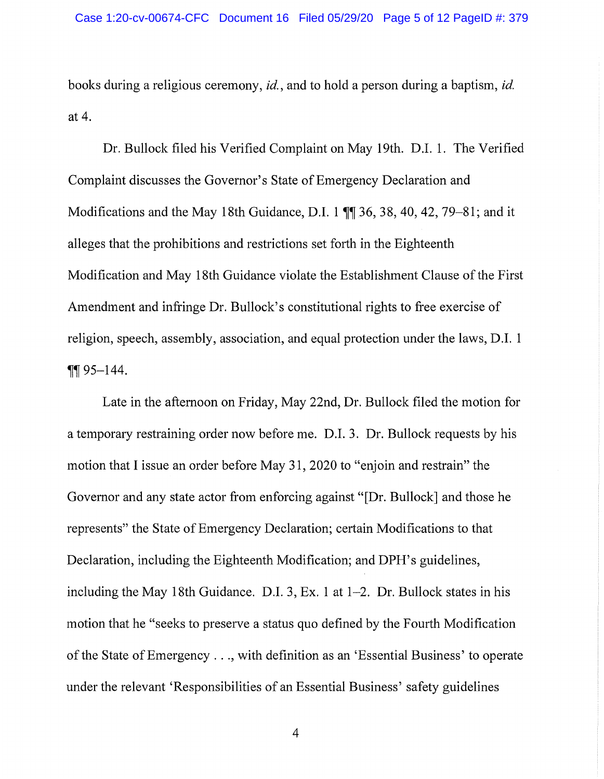books during a religious ceremony, *id.,* and to hold a person during a baptism, *id.*  at 4.

Dr. Bullock filed his Verified Complaint on May 19th. D.I. 1. The Verified Complaint discusses the Governor's State of Emergency Declaration and Modifications and the May 18th Guidance, D.I. 1  $\P$  36, 38, 40, 42, 79–81; and it alleges that the prohibitions and restrictions set forth in the Eighteenth Modification and May 18th Guidance violate the Establishment Clause of the First Amendment and infringe Dr. Bullock's constitutional rights to free exercise of religion, speech, assembly, association, and equal protection under the laws, D.I. 1  $\P\P$ 95-144.

Late in the afternoon on Friday, May 22nd, Dr. Bullock filed the motion for a temporary restraining order now before me. D.I. 3. Dr. Bullock requests by his motion that I issue an order before May 31, 2020 to "enjoin and restrain" the Governor and any state actor from enforcing against "[Dr. Bullock] and those he represents" the State of Emergency Declaration; certain Modifications to that Declaration, including the Eighteenth Modification; and DPH's guidelines, including the May 18th Guidance. D.I. 3, Ex. 1 at 1-2. Dr. Bullock states in his motion that he "seeks to preserve a status quo defined by the Fourth Modification of the State ofEmergency ... , with definition as an 'Essential Business' to operate under the relevant 'Responsibilities of an Essential Business' safety guidelines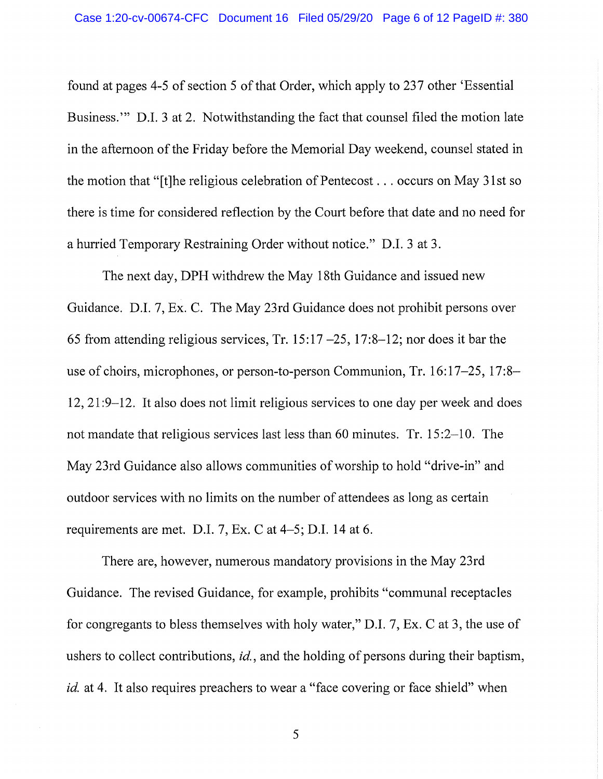found at pages 4-5 of section 5 of that Order, which apply to 237 other 'Essential Business."' **D.I.** 3 at 2. Notwithstanding the fact that counsel filed the motion late in the afternoon of the Friday before the Memorial Day weekend, counsel stated in the motion that "[t]he religious celebration of Pentecost ... occurs on May 31st so there is time for considered reflection by the Court before that date and no need for a hurried Temporary Restraining Order without notice." **D.I.** 3 at 3.

The next day, **DPH** withdrew the May 18th Guidance and issued new Guidance. **D.I.** 7, Ex. C. The May 23rd Guidance does not prohibit persons over 65 from attending religious services, Tr. 15:17  $-25$ , 17:8-12; nor does it bar the use of choirs, microphones, or person-to-person Communion, Tr. 16:17–25, 17:8– 12, 21:9–12. It also does not limit religious services to one day per week and does not mandate that religious services last less than 60 minutes. Tr. 15:2-10. The May 23rd Guidance also allows communities of worship to hold "drive-in" and outdoor services with no limits on the number of attendees as long as certain requirements are met. D.I. 7, Ex.Cat 4-5; **D.I.** 14 at 6.

There are, however, numerous mandatory provisions in the May 23rd Guidance. The revised Guidance, for example, prohibits "communal receptacles for congregants to bless themselves with holy water," **D.I.** 7, Ex.Cat 3, the use of ushers to collect contributions, *id.,* and the holding of persons during their baptism, *id.* at 4. It also requires preachers to wear a "face covering or face shield" when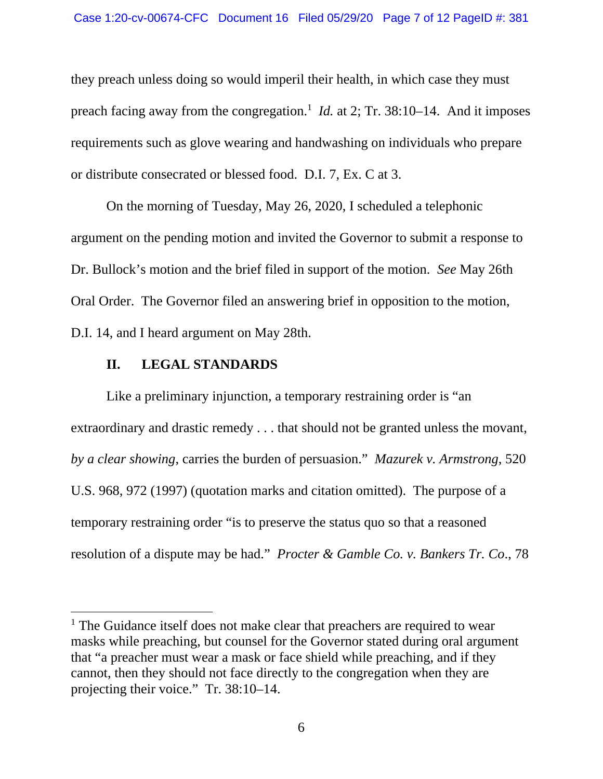they preach unless doing so would imperil their health, in which case they must preach facing away from the congregation.<sup>1</sup> *Id.* at 2; Tr. 38:10–14. And it imposes requirements such as glove wearing and handwashing on individuals who prepare or distribute consecrated or blessed food. D.I. 7, Ex. C at 3.

On the morning of Tuesday, May 26, 2020, I scheduled a telephonic argument on the pending motion and invited the Governor to submit a response to Dr. Bullock's motion and the brief filed in support of the motion. *See* May 26th Oral Order. The Governor filed an answering brief in opposition to the motion, D.I. 14, and I heard argument on May 28th.

#### **II. LEGAL STANDARDS**

Like a preliminary injunction, a temporary restraining order is "an extraordinary and drastic remedy . . . that should not be granted unless the movant, *by a clear showing*, carries the burden of persuasion." *Mazurek v. Armstrong*, 520 U.S. 968, 972 (1997) (quotation marks and citation omitted). The purpose of a temporary restraining order "is to preserve the status quo so that a reasoned resolution of a dispute may be had." *Procter & Gamble Co. v. Bankers Tr. Co*., 78

<sup>&</sup>lt;sup>1</sup> The Guidance itself does not make clear that preachers are required to wear masks while preaching, but counsel for the Governor stated during oral argument that "a preacher must wear a mask or face shield while preaching, and if they cannot, then they should not face directly to the congregation when they are projecting their voice." Tr. 38:10–14.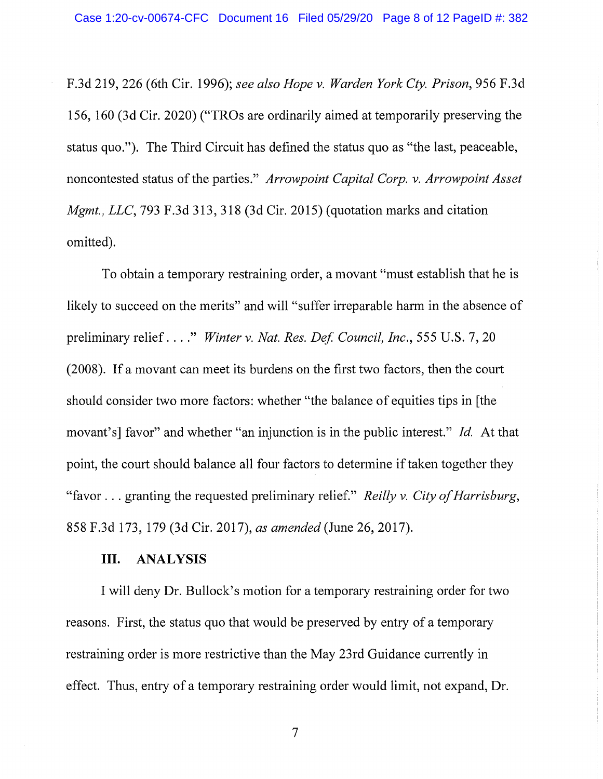F.3d 219, 226 (6th Cir. 1996); *see also Hope* v. *Warden York Cty. Prison,* 956 F.3d 156, 160 (3d Cir. 2020) ("TROs are ordinarily aimed at temporarily preserving the status quo."). The Third Circuit has defined the status quo as "the last, peaceable, noncontested status of the parties." *Arrowpoint Capital Corp.* v. *Arrowpoint Asset Mgmt., LLC, 793 F.3d 313, 318 (3d Cir. 2015) (quotation marks and citation* omitted).

To obtain a temporary restraining order, a movant "must establish that he is likely to succeed on the merits" and will "suffer irreparable harm in the absence of preliminary relief .... " *Winter* v. *Nat. Res. Def Council, Inc.,* 555 U.S. 7, 20 (2008). If a movant can meet its burdens on the first two factors, then the court should consider two more factors: whether "the balance of equities tips in [the movant's] favor" and whether "an injunction is in the public interest." *Id.* At that point, the court should balance all four factors to determine if taken together they "favor ... granting the requested preliminary relief." *Reilly* v. *City of Harrisburg,*  858 F.3d 173, 179 (3d Cir. 2017), *as amended* (June 26, 2017).

#### **III. ANALYSIS**

I will deny Dr. Bullock's motion for a temporary restraining order for two reasons. First, the status quo that would be preserved by entry of a temporary restraining order is more restrictive than the May 23rd Guidance currently in effect. Thus, entry of a temporary restraining order would limit, not expand, Dr.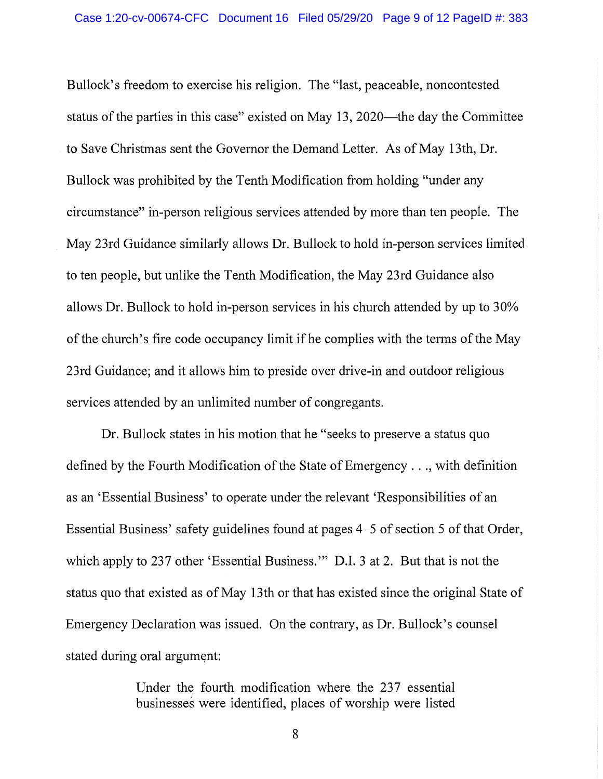Bullock's freedom to exercise his religion. The "last, peaceable, noncontested status of the parties in this case" existed on May 13, 2020—the day the Committee to Save Christmas sent the Governor the Demand Letter. As of May 13th, Dr. Bullock was prohibited by the Tenth Modification from holding "under any circumstance" in-person religious services attended by more than ten people. The May 23rd Guidance similarly allows Dr. Bullock to hold in-person services limited to ten people, but unlike the Tenth Modification, the May 23rd Guidance also allows Dr. Bullock to hold in-person services in his church attended by up to 30% of the church's fire code occupancy limit ifhe complies with the terms of the May 23rd Guidance; and it allows him to preside over drive-in and outdoor religious services attended by an unlimited number of congregants.

Dr. Bullock states in his motion that he "seeks to preserve a status quo defined by the Fourth Modification of the State of Emergency ... , with definition as an 'Essential Business' to operate under the relevant 'Responsibilities of an Essential Business' safety guidelines found at pages 4-5 of section 5 of that Order, which apply to 237 other 'Essential Business.'" D.I. 3 at 2. But that is not the status quo that existed as of May 13th or that has existed since the original State of Emergency Declaration was issued. On the contrary, as Dr. Bullock's counsel stated during oral argument:

> Under the fourth modification where the 237 essential businesses were identified, places of worship were listed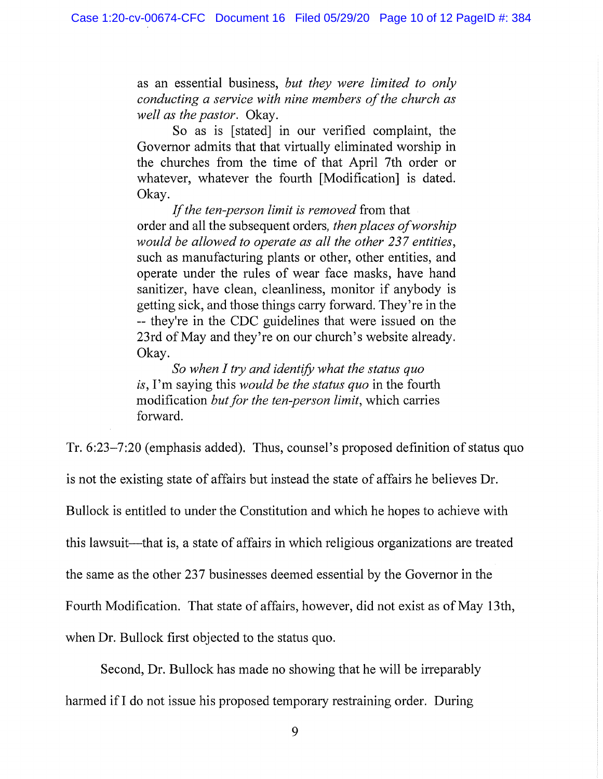as an essential business, *but they were limited to only conducting a service with nine members of the church as well as the pastor.* Okay.

So as is [stated] in our verified complaint, the Governor admits that that virtually eliminated worship in the churches from the time of that April 7th order or whatever, whatever the fourth [Modification] is dated. Okay.

*If the ten-person limit is removed* from that order and all the subsequent orders, *then places of worship would be allowed to operate as all the other 237 entities,*  such as manufacturing plants or other, other entities, and operate under the rules of wear face masks, have hand sanitizer, have clean, cleanliness, monitor if anybody is getting sick, and those things carry forward. They're in the -- they're in the CDC guidelines that were issued on the 23rd of May and they're on our church's website already. Okay.

*So when I try and identify what the status quo is,* I'm saying this *would be the status quo* in the fourth modification *but for the ten-person limit,* which carries forward.

Tr. 6:23-7:20 (emphasis added). Thus, counsel's proposed definition of status quo is not the existing state of affairs but instead the state of affairs he believes Dr. Bullock is entitled to under the Constitution and which he hopes to achieve with this lawsuit—that is, a state of affairs in which religious organizations are treated the same as the other 237 businesses deemed essential by the Governor in the Fourth Modification. That state of affairs, however, did not exist as of May 13th, when Dr. Bullock first objected to the status quo.

Second, Dr. Bullock has made no showing that he will be irreparably harmed if I do not issue his proposed temporary restraining order. During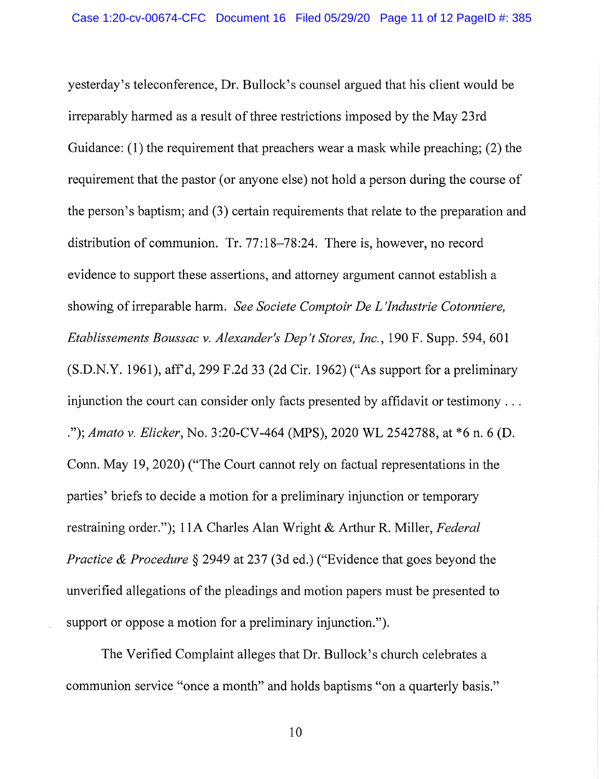yesterday's teleconference, Dr. Bullock's counsel argued that his client would be irreparably harmed as a result of three restrictions imposed by the May 23rd Guidance: (1) the requirement that preachers wear a mask while preaching; (2) the requirement that the pastor (or anyone else) not hold a person during the course of the person's baptism; and (3) certain requirements that relate to the preparation and distribution of communion. Tr. 77:18-78:24. There is, however, no record evidence to support these assertions, and attorney argument cannot establish a showing of irreparable harm. *See Societe Comptoir De L 'Jndustrie Cotonniere, Etablissements Boussac v. Alexander's Dep't Stores, Inc.,* 190 F. Supp. 594,601  $(S.D.N.Y. 1961)$ , aff'd, 299 F.2d 33 (2d Cir. 1962) ("As support for a preliminary injunction the court can consider only facts presented by affidavit or testimony ... . "); *Amato v. Elicker,* No. 3:20-CV-464 (MPS), 2020 WL 2542788, at \*6 n. 6 (D. Conn. May 19, 2020) ("The Court cannot rely on factual representations in the parties' briefs to decide a motion for a preliminary injunction or temporary restraining order."); 1 lA Charles Alan Wright & Arthur R. Miller, *Federal Practice & Procedure § 2949 at 237 (3d ed.)* ("Evidence that goes beyond the unverified allegations of the pleadings and motion papers must be presented to support or oppose a motion for a preliminary injunction.").

The Verified Complaint alleges that Dr. Bullock's church celebrates a communion service "once a month" and holds baptisms "on a quarterly basis."